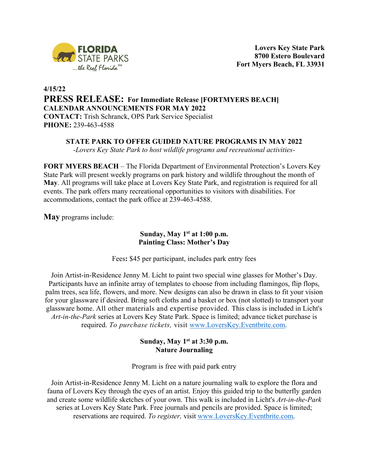

# **4/15/22 PRESS RELEASE: For Immediate Release [FORTMYERS BEACH] CALENDAR ANNOUNCEMENTS FOR MAY 2022 CONTACT:** Trish Schranck, OPS Park Service Specialist **PHONE:** 239-463-4588

## **STATE PARK TO OFFER GUIDED NATURE PROGRAMS IN MAY 2022**

*-Lovers Key State Park to host wildlife programs and recreational activities-*

**FORT MYERS BEACH** – The Florida Department of Environmental Protection's Lovers Key State Park will present weekly programs on park history and wildlife throughout the month of **May**. All programs will take place at Lovers Key State Park, and registration is required for all events. The park offers many recreational opportunities to visitors with disabilities. For accommodations, contact the park office at 239-463-4588.

**May** programs include:

# **Sunday, May 1st at 1:00 p.m. Painting Class: Mother's Day**

Fees**:** \$45 per participant, includes park entry fees

Join Artist-in-Residence Jenny M. Licht to paint two special wine glasses for Mother's Day. Participants have an infinite array of templates to choose from including flamingos, flip flops, palm trees, sea life, flowers, and more. New designs can also be drawn in class to fit your vision for your glassware if desired. Bring soft cloths and a basket or box (not slotted) to transport your glassware home. All other materials and expertise provided. This class is included in Licht's *Art-in-the-Park* series at Lovers Key State Park. Space is limited; advance ticket purchase is required. *To purchase tickets,* visit www.LoversKey.Eventbrite.com.

## **Sunday, May 1st at 3:30 p.m. Nature Journaling**

Program is free with paid park entry

Join Artist-in-Residence Jenny M. Licht on a nature journaling walk to explore the flora and fauna of Lovers Key through the eyes of an artist. Enjoy this guided trip to the butterfly garden and create some wildlife sketches of your own. This walk is included in Licht's *Art-in-the-Park* series at Lovers Key State Park. Free journals and pencils are provided. Space is limited; reservations are required. *To register,* visit www.LoversKey.Eventbrite.com.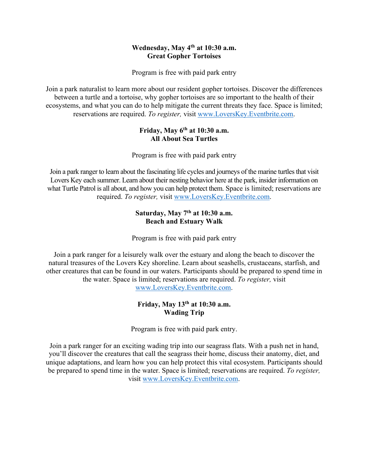## **Wednesday, May 4th at 10:30 a.m. Great Gopher Tortoises**

Program is free with paid park entry

Join a park naturalist to learn more about our resident gopher tortoises. Discover the differences between a turtle and a tortoise, why gopher tortoises are so important to the health of their ecosystems, and what you can do to help mitigate the current threats they face. Space is limited; reservations are required. *To register,* visit www.LoversKey.Eventbrite.com.

## **Friday, May 6th at 10:30 a.m. All About Sea Turtles**

Program is free with paid park entry

Join a park ranger to learn about the fascinating life cycles and journeys of the marine turtles that visit Lovers Key each summer. Learn about their nesting behavior here at the park, insider information on what Turtle Patrol is all about, and how you can help protect them. Space is limited; reservations are required. *To register,* visit www.LoversKey.Eventbrite.com.

## **Saturday, May 7th at 10:30 a.m. Beach and Estuary Walk**

Program is free with paid park entry

Join a park ranger for a leisurely walk over the estuary and along the beach to discover the natural treasures of the Lovers Key shoreline. Learn about seashells, crustaceans, starfish, and other creatures that can be found in our waters. Participants should be prepared to spend time in the water. Space is limited; reservations are required. *To register,* visit www.LoversKey.Eventbrite.com.

# **Friday, May 13th at 10:30 a.m. Wading Trip**

Program is free with paid park entry.

Join a park ranger for an exciting wading trip into our seagrass flats. With a push net in hand, you'll discover the creatures that call the seagrass their home, discuss their anatomy, diet, and unique adaptations, and learn how you can help protect this vital ecosystem. Participants should be prepared to spend time in the water. Space is limited; reservations are required. *To register,* visit www.LoversKey.Eventbrite.com.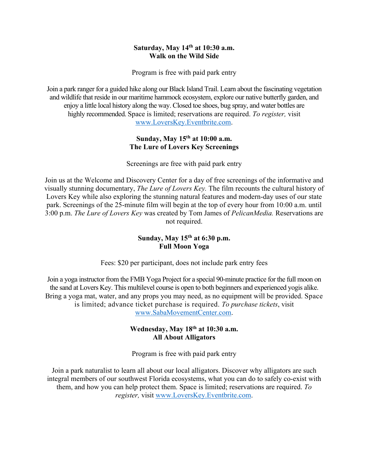### **Saturday, May 14th at 10:30 a.m. Walk on the Wild Side**

Program is free with paid park entry

Join a park ranger for a guided hike along our Black Island Trail. Learn about the fascinating vegetation and wildlife that reside in our maritime hammock ecosystem, explore our native butterfly garden, and enjoy a little local history along the way. Closed toe shoes, bug spray, and water bottles are highly recommended. Space is limited; reservations are required. *To register,* visit www.LoversKey.Eventbrite.com.

# **Sunday, May 15th at 10:00 a.m. The Lure of Lovers Key Screenings**

Screenings are free with paid park entry

Join us at the Welcome and Discovery Center for a day of free screenings of the informative and visually stunning documentary, *The Lure of Lovers Key.* The film recounts the cultural history of Lovers Key while also exploring the stunning natural features and modern-day uses of our state park. Screenings of the 25-minute film will begin at the top of every hour from 10:00 a.m. until 3:00 p.m. *The Lure of Lovers Key* was created by Tom James of *PelicanMedia.* Reservations are not required.

### **Sunday, May 15th at 6:30 p.m. Full Moon Yoga**

Fees: \$20 per participant, does not include park entry fees

Join a yoga instructor from the FMB Yoga Project for a special 90-minute practice for the full moon on the sand at Lovers Key. This multilevel course is open to both beginners and experienced yogis alike. Bring a yoga mat, water, and any props you may need, as no equipment will be provided. Space is limited; advance ticket purchase is required. *To purchase tickets*, visit www.SabaMovementCenter.com.

#### **Wednesday, May 18th at 10:30 a.m. All About Alligators**

Program is free with paid park entry

Join a park naturalist to learn all about our local alligators. Discover why alligators are such integral members of our southwest Florida ecosystems, what you can do to safely co-exist with them, and how you can help protect them. Space is limited; reservations are required. *To register,* visit www.LoversKey.Eventbrite.com.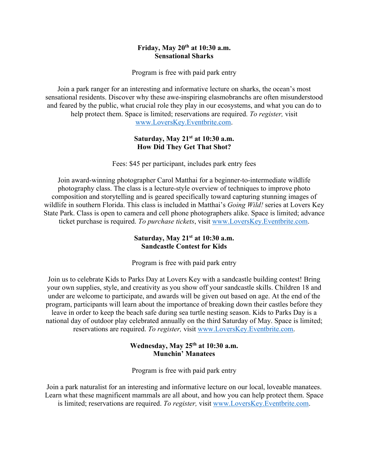#### **Friday, May 20th at 10:30 a.m. Sensational Sharks**

Program is free with paid park entry

Join a park ranger for an interesting and informative lecture on sharks, the ocean's most sensational residents. Discover why these awe-inspiring elasmobranchs are often misunderstood and feared by the public, what crucial role they play in our ecosystems, and what you can do to help protect them. Space is limited; reservations are required. *To register,* visit www.LoversKey.Eventbrite.com.

### **Saturday, May 21st at 10:30 a.m. How Did They Get That Shot?**

Fees: \$45 per participant, includes park entry fees

Join award-winning photographer Carol Matthai for a beginner-to-intermediate wildlife photography class. The class is a lecture-style overview of techniques to improve photo composition and storytelling and is geared specifically toward capturing stunning images of wildlife in southern Florida. This class is included in Matthai's *Going Wild!* series at Lovers Key State Park. Class is open to camera and cell phone photographers alike. Space is limited; advance ticket purchase is required. *To purchase tickets*, visit www.LoversKey.Eventbrite.com.

## **Saturday, May 21st at 10:30 a.m. Sandcastle Contest for Kids**

Program is free with paid park entry

Join us to celebrate Kids to Parks Day at Lovers Key with a sandcastle building contest! Bring your own supplies, style, and creativity as you show off your sandcastle skills. Children 18 and under are welcome to participate, and awards will be given out based on age. At the end of the program, participants will learn about the importance of breaking down their castles before they leave in order to keep the beach safe during sea turtle nesting season. Kids to Parks Day is a national day of outdoor play celebrated annually on the third Saturday of May. Space is limited; reservations are required. *To register,* visit www.LoversKey.Eventbrite.com.

## **Wednesday, May 25th at 10:30 a.m. Munchin' Manatees**

Program is free with paid park entry

Join a park naturalist for an interesting and informative lecture on our local, loveable manatees. Learn what these magnificent mammals are all about, and how you can help protect them. Space is limited; reservations are required. *To register,* visit www.LoversKey.Eventbrite.com.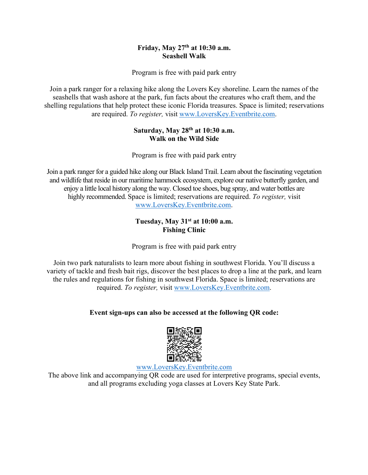# **Friday, May 27th at 10:30 a.m. Seashell Walk**

Program is free with paid park entry

Join a park ranger for a relaxing hike along the Lovers Key shoreline. Learn the names of the seashells that wash ashore at the park, fun facts about the creatures who craft them, and the shelling regulations that help protect these iconic Florida treasures. Space is limited; reservations are required. *To register,* visit www.LoversKey.Eventbrite.com.

## **Saturday, May 28th at 10:30 a.m. Walk on the Wild Side**

Program is free with paid park entry

Join a park ranger for a guided hike along our Black Island Trail. Learn about the fascinating vegetation and wildlife that reside in our maritime hammock ecosystem, explore our native butterfly garden, and enjoy a little local history along the way. Closed toe shoes, bug spray, and water bottles are highly recommended. Space is limited; reservations are required. *To register,* visit www.LoversKey.Eventbrite.com.

## **Tuesday, May 31st at 10:00 a.m. Fishing Clinic**

Program is free with paid park entry

Join two park naturalists to learn more about fishing in southwest Florida. You'll discuss a variety of tackle and fresh bait rigs, discover the best places to drop a line at the park, and learn the rules and regulations for fishing in southwest Florida. Space is limited; reservations are required. *To register,* visit www.LoversKey.Eventbrite.com.

# **Event sign-ups can also be accessed at the following QR code:**



www.LoversKey.Eventbrite.com

The above link and accompanying QR code are used for interpretive programs, special events, and all programs excluding yoga classes at Lovers Key State Park.